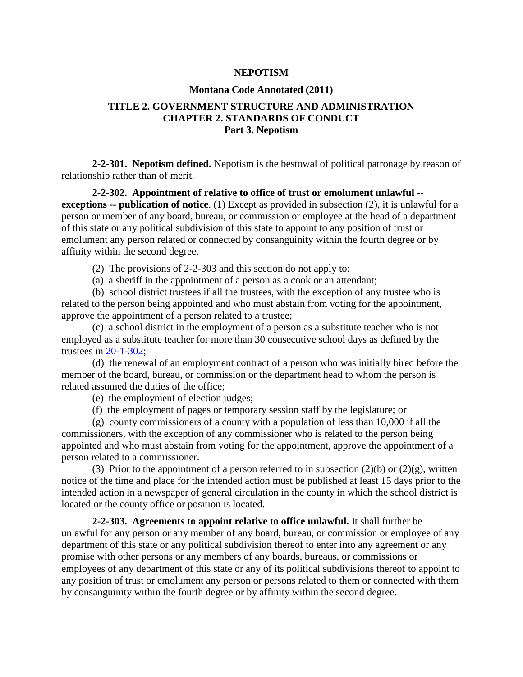## **NEPOTISM**

## **Montana Code Annotated (2011)**

## **TITLE 2. GOVERNMENT STRUCTURE AND ADMINISTRATION CHAPTER 2. STANDARDS OF CONDUCT Part 3. Nepotism**

**2-2-301. Nepotism defined.** Nepotism is the bestowal of political patronage by reason of relationship rather than of merit.

**2-2-302. Appointment of relative to office of trust or emolument unlawful - exceptions -- publication of notice**. (1) Except as provided in subsection (2), it is unlawful for a person or member of any board, bureau, or commission or employee at the head of a department of this state or any political subdivision of this state to appoint to any position of trust or emolument any person related or connected by consanguinity within the fourth degree or by affinity within the second degree.

(2) The provisions of 2-2-303 and this section do not apply to:

(a) a sheriff in the appointment of a person as a cook or an attendant;

(b) school district trustees if all the trustees, with the exception of any trustee who is related to the person being appointed and who must abstain from voting for the appointment, approve the appointment of a person related to a trustee;

(c) a school district in the employment of a person as a substitute teacher who is not employed as a substitute teacher for more than 30 consecutive school days as defined by the trustees in [20-1-302;](http://data.opi.mt.gov/bills/mca/20/1/20-1-302.htm)

(d) the renewal of an employment contract of a person who was initially hired before the member of the board, bureau, or commission or the department head to whom the person is related assumed the duties of the office;

(e) the employment of election judges;

(f) the employment of pages or temporary session staff by the legislature; or

(g) county commissioners of a county with a population of less than 10,000 if all the commissioners, with the exception of any commissioner who is related to the person being appointed and who must abstain from voting for the appointment, approve the appointment of a person related to a commissioner.

(3) Prior to the appointment of a person referred to in subsection (2)(b) or (2)(g), written notice of the time and place for the intended action must be published at least 15 days prior to the intended action in a newspaper of general circulation in the county in which the school district is located or the county office or position is located.

**2-2-303. Agreements to appoint relative to office unlawful.** It shall further be unlawful for any person or any member of any board, bureau, or commission or employee of any department of this state or any political subdivision thereof to enter into any agreement or any promise with other persons or any members of any boards, bureaus, or commissions or employees of any department of this state or any of its political subdivisions thereof to appoint to any position of trust or emolument any person or persons related to them or connected with them by consanguinity within the fourth degree or by affinity within the second degree.